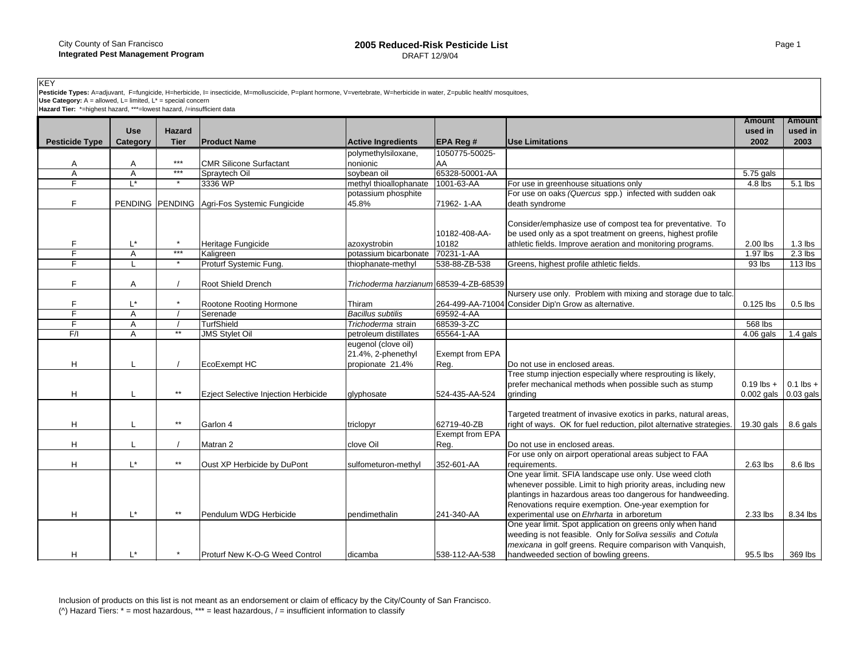KEY<br>**Pesticide Types:** A=adjuvant, F=fungicide, H=herbicide, I= insecticide, M=molluscicide, P=plant hormone, V=vertebrate, W=herbicide in water, Z=public health/ mosquitoes,<br>**Use Category:** A = allowed, L= limited, L\* = **Hazard Tier:** \*-alowed, L= limited, L\* = special concern<br>Hazard Tier: \*=highest hazard, \*\*\*=lowest hazard, /=insufficient data

|                       | <b>Use</b>     | <b>Hazard</b> |                                             |                                                               |                                |                                                                                                                                                                                                                                                                                                | <b>Amount</b><br>used in     | <b>Amount</b><br>used in |
|-----------------------|----------------|---------------|---------------------------------------------|---------------------------------------------------------------|--------------------------------|------------------------------------------------------------------------------------------------------------------------------------------------------------------------------------------------------------------------------------------------------------------------------------------------|------------------------------|--------------------------|
| <b>Pesticide Type</b> | Category       | <b>Tier</b>   | <b>Product Name</b>                         | <b>Active Ingredients</b>                                     | <b>EPA Reg#</b>                | <b>Use Limitations</b>                                                                                                                                                                                                                                                                         | 2002                         | 2003                     |
|                       |                |               |                                             | polymethylsiloxane,                                           | 1050775-50025-                 |                                                                                                                                                                                                                                                                                                |                              |                          |
| Α                     | A              | $***$         | <b>CMR Silicone Surfactant</b>              | nonionic                                                      | AA                             |                                                                                                                                                                                                                                                                                                |                              |                          |
| A                     | Α              | $***$         | Spraytech Oil                               | soybean oil                                                   | 65328-50001-AA                 |                                                                                                                                                                                                                                                                                                | 5.75 gals                    |                          |
| F                     | L*             |               | 3336 WP                                     | methyl thioallophanate                                        | 1001-63-AA                     | For use in greenhouse situations only                                                                                                                                                                                                                                                          | $4.8$ lbs                    | 5.1 lbs                  |
| F                     |                |               | PENDING PENDING Agri-Fos Systemic Fungicide | potassium phosphite<br>45.8%                                  | 71962-1-AA                     | For use on oaks (Quercus spp.) infected with sudden oak<br>death syndrome                                                                                                                                                                                                                      |                              |                          |
|                       | L*             | $\star$       | Heritage Fungicide                          | azoxystrobin                                                  | 10182-408-AA-<br>10182         | Consider/emphasize use of compost tea for preventative. To<br>be used only as a spot treatment on greens, highest profile<br>athletic fields. Improve aeration and monitoring programs.                                                                                                        | 2.00 lbs                     | $1.3$ lbs                |
| F                     | $\overline{A}$ | $***$         | Kaligreen                                   | potassium bicarbonate                                         | 70231-1-AA                     |                                                                                                                                                                                                                                                                                                | 1.97 lbs                     | $2.3$ lbs                |
|                       |                | $\star$       | Proturf Systemic Fung.                      | thiophanate-methyl                                            | 538-88-ZB-538                  | Greens, highest profile athletic fields.                                                                                                                                                                                                                                                       | 93 lbs                       | 113 lbs                  |
| F                     | Α              |               | Root Shield Drench                          | Trichoderma harzianum 68539-4-ZB-68539                        |                                |                                                                                                                                                                                                                                                                                                |                              |                          |
|                       |                | $\star$       |                                             |                                                               |                                | Nursery use only. Problem with mixing and storage due to talc.                                                                                                                                                                                                                                 |                              |                          |
| F<br>F                | L*             |               | Rootone Rooting Hormone                     | Thiram                                                        |                                | 264-499-AA-71004 Consider Dip'n Grow as alternative.                                                                                                                                                                                                                                           | 0.125 lbs                    | $0.5$ lbs                |
| F                     | $\overline{A}$ |               | Serenade<br><b>TurfShield</b>               | <b>Bacillus subtilis</b>                                      | 69592-4-AA<br>68539-3-ZC       |                                                                                                                                                                                                                                                                                                |                              |                          |
|                       | A              | $**$          |                                             | Trichoderma strain                                            |                                |                                                                                                                                                                                                                                                                                                | 568 lbs                      |                          |
| F/I                   | Α              |               | <b>JMS Stylet Oil</b>                       | petroleum distillates                                         | 65564-1-AA                     |                                                                                                                                                                                                                                                                                                | $4.06$ gals                  | $1.4$ gals               |
| Η                     |                |               | EcoExempt HC                                | eugenol (clove oil)<br>21.4%, 2-phenethyl<br>propionate 21.4% | <b>Exempt from EPA</b><br>Reg. | Do not use in enclosed areas.                                                                                                                                                                                                                                                                  |                              |                          |
| н                     |                | $\star\star$  | <b>Ezject Selective Injection Herbicide</b> | glyphosate                                                    | 524-435-AA-524                 | Tree stump injection especially where resprouting is likely,<br>prefer mechanical methods when possible such as stump<br>grinding                                                                                                                                                              | $0.19$ lbs +<br>$0.002$ gals | $0.1$ lbs +<br>0.03 gals |
| Η                     |                | $\star\star$  | Garlon 4                                    | triclopyr                                                     | 62719-40-ZB<br>Exempt from EPA | Targeted treatment of invasive exotics in parks, natural areas,<br>right of ways. OK for fuel reduction, pilot alternative strategies.                                                                                                                                                         | 19.30 gals                   | 8.6 gals                 |
| н                     |                |               | Matran 2                                    | clove Oil                                                     | Reg.                           | Do not use in enclosed areas.                                                                                                                                                                                                                                                                  |                              |                          |
| Η                     | L*             | $\star\star$  | Oust XP Herbicide by DuPont                 | sulfometuron-methyl                                           | 352-601-AA                     | For use only on airport operational areas subject to FAA<br>requirements.                                                                                                                                                                                                                      | 2.63 lbs                     | 8.6 lbs                  |
| н                     | $L^*$          | $\star\star$  | Pendulum WDG Herbicide                      | pendimethalin                                                 | 241-340-AA                     | One year limit. SFIA landscape use only. Use weed cloth<br>whenever possible. Limit to high priority areas, including new<br>plantings in hazardous areas too dangerous for handweeding.<br>Renovations require exemption. One-year exemption for<br>experimental use on Ehrharta in arboretum | 2.33 lbs                     | 8.34 lbs                 |
| н                     | L*             |               | Proturf New K-O-G Weed Control              | dicamba                                                       | 538-112-AA-538                 | One year limit. Spot application on greens only when hand<br>weeding is not feasible. Only for Soliva sessilis and Cotula<br>mexicana in golf greens. Require comparison with Vanquish,<br>handweeded section of bowling greens.                                                               | 95.5 lbs                     | 369 lbs                  |

Inclusion of products on this list is not meant as an endorsement or claim of efficacy by the City/County of San Francisco. (^) Hazard Tiers: \* = most hazardous, \*\*\* = least hazardous, / = insufficient information to classify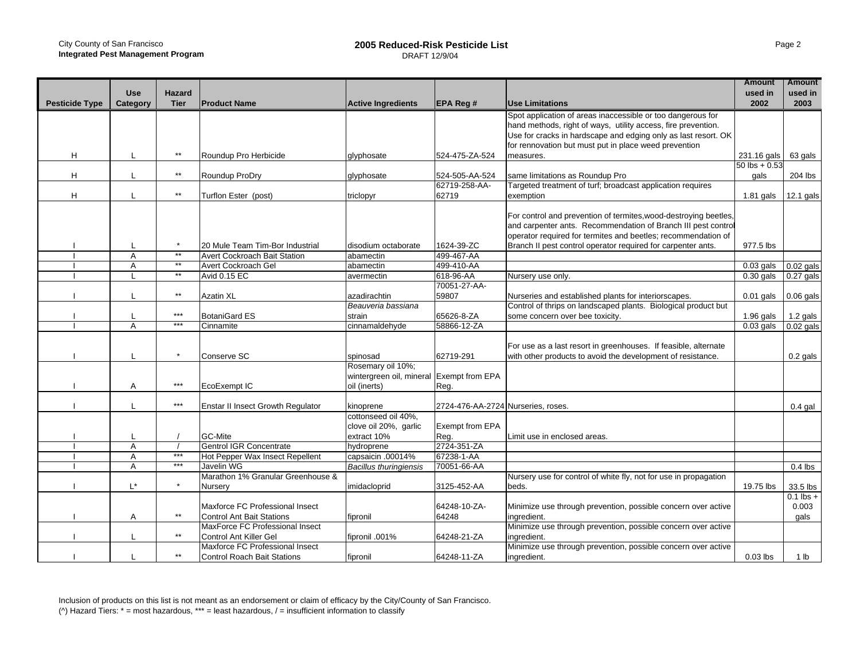|                       | <b>Use</b>     | <b>Hazard</b>         |                                    |                                          |                                    |                                                                                                                                   | <b>Amount</b><br>used in | <b>Amount</b><br>used in |
|-----------------------|----------------|-----------------------|------------------------------------|------------------------------------------|------------------------------------|-----------------------------------------------------------------------------------------------------------------------------------|--------------------------|--------------------------|
| <b>Pesticide Type</b> | Category       | <b>Tier</b>           | <b>Product Name</b>                | <b>Active Ingredients</b>                | <b>EPA Reg#</b>                    | <b>Use Limitations</b>                                                                                                            | 2002                     | 2003                     |
|                       |                |                       |                                    |                                          |                                    | Spot application of areas inaccessible or too dangerous for                                                                       |                          |                          |
|                       |                |                       |                                    |                                          |                                    | hand methods, right of ways, utility access, fire prevention.                                                                     |                          |                          |
|                       |                |                       |                                    |                                          |                                    | Use for cracks in hardscape and edging only as last resort. OK                                                                    |                          |                          |
|                       |                |                       |                                    |                                          |                                    | for rennovation but must put in place weed prevention                                                                             |                          |                          |
| H                     | L              | $^{\star\star}$       | Roundup Pro Herbicide              | glyphosate                               | 524-475-ZA-524                     | measures.                                                                                                                         | 231.16 gals              | 63 gals                  |
|                       |                |                       |                                    |                                          |                                    |                                                                                                                                   | $50$ lbs + 0.53          |                          |
| H                     | L              | $\star\star$          | Roundup ProDry                     | glyphosate                               | 524-505-AA-524                     | same limitations as Roundup Pro                                                                                                   | gals                     | 204 lbs                  |
|                       |                | $\star\star$          |                                    |                                          | 62719-258-AA-                      | Targeted treatment of turf; broadcast application requires                                                                        |                          |                          |
| H                     |                |                       | Turflon Ester (post)               | triclopyr                                | 62719                              | exemption                                                                                                                         | $1.81$ gals              | 12.1 gals                |
|                       |                |                       |                                    |                                          |                                    |                                                                                                                                   |                          |                          |
|                       |                |                       |                                    |                                          |                                    | For control and prevention of termites, wood-destroying beetles,<br>and carpenter ants. Recommendation of Branch III pest control |                          |                          |
|                       |                |                       |                                    |                                          |                                    |                                                                                                                                   |                          |                          |
|                       |                | $\star$               |                                    |                                          |                                    | operator required for termites and beetles; recommendation of                                                                     |                          |                          |
|                       | L              | $**$                  | 20 Mule Team Tim-Bor Industrial    | disodium octaborate                      | 1624-39-ZC                         | Branch II pest control operator required for carpenter ants.                                                                      | 977.5 lbs                |                          |
|                       | A              | $**$                  | Avert Cockroach Bait Station       | abamectin                                | 499-467-AA                         |                                                                                                                                   |                          |                          |
|                       | A              | $**$                  | Avert Cockroach Gel                | abamectin                                | 499-410-AA                         |                                                                                                                                   | $0.03$ gals              | $0.02$ gals              |
|                       | L              |                       | <b>Avid 0.15 EC</b>                | avermectin                               | 618-96-AA                          | Nursery use only.                                                                                                                 | $0.30$ gals              | $0.27$ gals              |
|                       |                | $\star\star$          |                                    |                                          | 70051-27-AA-                       |                                                                                                                                   |                          |                          |
|                       | L              |                       | Azatin XL                          | azadirachtin                             | 59807                              | Nurseries and established plants for interiorscapes.                                                                              | $0.01$ gals              | $0.06$ gals              |
|                       |                |                       |                                    | Beauveria bassiana                       |                                    | Control of thrips on landscaped plants. Biological product but                                                                    |                          |                          |
|                       | L              | $***$                 | <b>BotaniGard ES</b>               | strain                                   | 65626-8-ZA                         | some concern over bee toxicity.                                                                                                   | $1.96$ gals              | $1.2$ gals               |
|                       | A              | ***                   | Cinnamite                          | cinnamaldehyde                           | 58866-12-ZA                        |                                                                                                                                   | $0.03$ gals              | $0.02$ gals              |
|                       |                |                       |                                    |                                          |                                    |                                                                                                                                   |                          |                          |
|                       |                |                       |                                    |                                          |                                    | For use as a last resort in greenhouses. If feasible, alternate                                                                   |                          |                          |
|                       | L              | $\star$               | Conserve SC                        | spinosad                                 | 62719-291                          | with other products to avoid the development of resistance.                                                                       |                          | $0.2$ gals               |
|                       |                |                       |                                    | Rosemary oil 10%;                        |                                    |                                                                                                                                   |                          |                          |
|                       |                |                       |                                    | wintergreen oil, mineral Exempt from EPA |                                    |                                                                                                                                   |                          |                          |
|                       | Α              | $***$                 | EcoExempt IC                       | oil (inerts)                             | Reg.                               |                                                                                                                                   |                          |                          |
|                       | L              | $\star\!\star\!\star$ | Enstar II Insect Growth Regulator  |                                          | 2724-476-AA-2724 Nurseries, roses. |                                                                                                                                   |                          |                          |
|                       |                |                       |                                    | kinoprene<br>cottonseed oil 40%,         |                                    |                                                                                                                                   |                          | $0.4$ gal                |
|                       |                |                       |                                    | clove oil 20%, garlic                    | <b>Exempt from EPA</b>             |                                                                                                                                   |                          |                          |
|                       |                |                       | <b>GC-Mite</b>                     | extract 10%                              | Reg.                               |                                                                                                                                   |                          |                          |
|                       | $\overline{A}$ |                       | <b>Gentrol IGR Concentrate</b>     | hydroprene                               | 2724-351-ZA                        | Limit use in enclosed areas.                                                                                                      |                          |                          |
|                       | A              | $***$                 | Hot Pepper Wax Insect Repellent    | capsaicin .00014%                        | 67238-1-AA                         |                                                                                                                                   |                          |                          |
|                       | $\overline{A}$ | $***$                 | Javelin WG                         |                                          | 70051-66-AA                        |                                                                                                                                   |                          |                          |
|                       |                |                       |                                    | <b>Bacillus thuringiensis</b>            |                                    |                                                                                                                                   |                          | $0.4$ lbs                |
|                       | $L^*$          | $\star$               | Marathon 1% Granular Greenhouse &  |                                          |                                    | Nursery use for control of white fly, not for use in propagation                                                                  |                          |                          |
|                       |                |                       | Nursery                            | imidacloprid                             | 3125-452-AA                        | beds.                                                                                                                             | 19.75 lbs                | 33.5 lbs                 |
|                       |                |                       |                                    |                                          |                                    |                                                                                                                                   |                          | $0.1$ lbs $+$            |
|                       |                | $\star\star$          | Maxforce FC Professional Insect    |                                          | 64248-10-ZA-                       | Minimize use through prevention, possible concern over active                                                                     |                          | 0.003                    |
|                       | Α              |                       | <b>Control Ant Bait Stations</b>   | fipronil                                 | 64248                              | ingredient.                                                                                                                       |                          | qals                     |
|                       |                | $\star\star$          | MaxForce FC Professional Insect    |                                          |                                    | Minimize use through prevention, possible concern over active                                                                     |                          |                          |
|                       | L              |                       | <b>Control Ant Killer Gel</b>      | fipronil .001%                           | 64248-21-ZA                        | ingredient.                                                                                                                       |                          |                          |
|                       |                |                       | Maxforce FC Professional Insect    |                                          |                                    | Minimize use through prevention, possible concern over active                                                                     |                          |                          |
|                       |                | $\star\star$          | <b>Control Roach Bait Stations</b> | fipronil                                 | 64248-11-ZA                        | ingredient.                                                                                                                       | $0.03$ lbs               | 1 lb                     |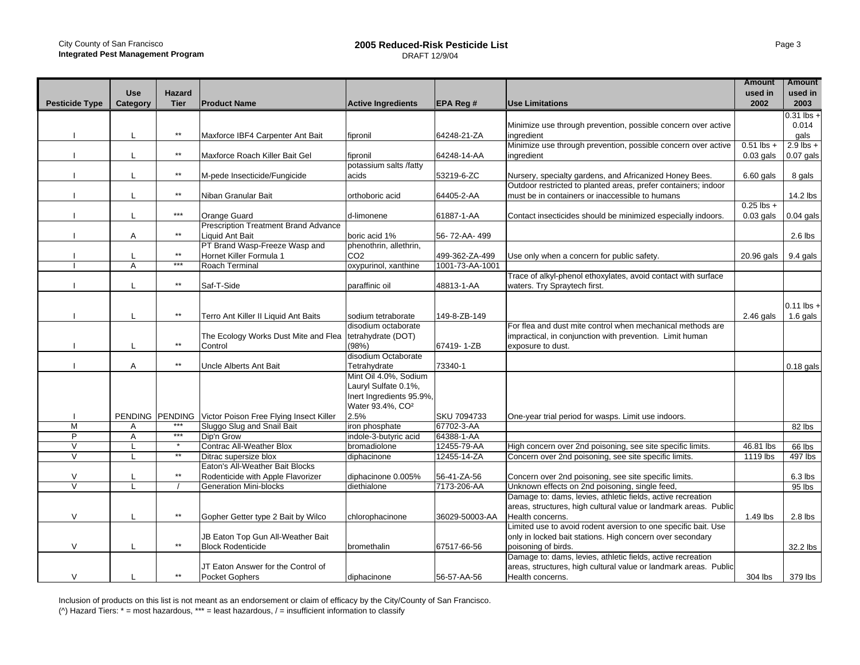## **2005 Reduced-Risk Pesticide List** DRAFT 12/9/04

|                       |                 |                 |                                             |                              |                 |                                                                  | <b>Amount</b>           | <b>Amount</b> |
|-----------------------|-----------------|-----------------|---------------------------------------------|------------------------------|-----------------|------------------------------------------------------------------|-------------------------|---------------|
|                       | <b>Use</b>      | <b>Hazard</b>   |                                             |                              |                 |                                                                  | used in                 | used in       |
| <b>Pesticide Type</b> | Category        | <b>Tier</b>     | <b>Product Name</b>                         | <b>Active Ingredients</b>    | <b>EPA Reg#</b> | <b>Use Limitations</b>                                           | 2002                    | 2003          |
|                       |                 |                 |                                             |                              |                 |                                                                  |                         | $0.31$ lbs +  |
|                       |                 |                 |                                             |                              |                 | Minimize use through prevention, possible concern over active    |                         | 0.014         |
|                       | L               | $^{\star\star}$ | Maxforce IBF4 Carpenter Ant Bait            | fipronil                     | 64248-21-ZA     | ingredient                                                       |                         | qals          |
|                       |                 |                 |                                             |                              |                 | Minimize use through prevention, possible concern over active    | $\overline{0.51}$ lbs + | $2.9$ lbs +   |
|                       | L               | $\star\star$    | Maxforce Roach Killer Bait Gel              | fipronil                     | 64248-14-AA     | ingredient                                                       | $0.03$ gals             | $0.07$ gals   |
|                       |                 |                 |                                             | potassium salts /fatty       |                 |                                                                  |                         |               |
|                       | L               | $\star\star$    | M-pede Insecticide/Fungicide                | acids                        | 53219-6-ZC      | Nursery, specialty gardens, and Africanized Honey Bees.          | $6.60$ gals             | 8 gals        |
|                       |                 |                 |                                             |                              |                 | Outdoor restricted to planted areas, prefer containers; indoor   |                         |               |
|                       | L               | $\star\star$    | Niban Granular Bait                         | orthoboric acid              | 64405-2-AA      | must be in containers or inaccessible to humans                  |                         | 14.2 lbs      |
|                       |                 |                 |                                             |                              |                 |                                                                  | $0.25$ lbs +            |               |
|                       | L               | $***$           | Orange Guard                                | d-limonene                   | 61887-1-AA      | Contact insecticides should be minimized especially indoors.     | $0.03$ gals             | $0.04$ gals   |
|                       |                 |                 | <b>Prescription Treatment Brand Advance</b> |                              |                 |                                                                  |                         |               |
|                       | A               | $\star\star$    | Liquid Ant Bait                             | boric acid 1%                | 56-72-AA-499    |                                                                  |                         | $2.6$ lbs     |
|                       |                 |                 | PT Brand Wasp-Freeze Wasp and               | phenothrin, allethrin,       |                 |                                                                  |                         |               |
|                       |                 | $***$           | Hornet Killer Formula 1                     | CO <sub>2</sub>              | 499-362-ZA-499  | Use only when a concern for public safety.                       | 20.96 gals              | 9.4 gals      |
|                       | A               | $***$           | Roach Terminal                              | oxypurinol, xanthine         | 1001-73-AA-1001 |                                                                  |                         |               |
|                       |                 |                 |                                             |                              |                 | Trace of alkyl-phenol ethoxylates, avoid contact with surface    |                         |               |
|                       | $\mathbf{I}$    | $\star\star$    | Saf-T-Side                                  | paraffinic oil               | 48813-1-AA      | waters. Try Spraytech first.                                     |                         |               |
|                       |                 |                 |                                             |                              |                 |                                                                  |                         |               |
|                       |                 |                 |                                             |                              |                 |                                                                  |                         | $0.11$ lbs +  |
|                       | L               | $\star\star$    | Terro Ant Killer II Liquid Ant Baits        | sodium tetraborate           | 149-8-ZB-149    |                                                                  | $2.46$ gals             | 1.6 gals      |
|                       |                 |                 |                                             | disodium octaborate          |                 | For flea and dust mite control when mechanical methods are       |                         |               |
|                       |                 |                 | The Ecology Works Dust Mite and Flea        | tetrahydrate (DOT)           |                 | impractical, in conjunction with prevention. Limit human         |                         |               |
|                       | L               | $\star\star$    | Control                                     | (98%)                        | 67419-1-ZB      | exposure to dust.                                                |                         |               |
|                       |                 |                 |                                             | disodium Octaborate          |                 |                                                                  |                         |               |
|                       | A               | $\star\star$    | Uncle Alberts Ant Bait                      | Tetrahydrate                 | 73340-1         |                                                                  |                         | $0.18$ gals   |
|                       |                 |                 |                                             | Mint Oil 4.0%, Sodium        |                 |                                                                  |                         |               |
|                       |                 |                 |                                             | Lauryl Sulfate 0.1%,         |                 |                                                                  |                         |               |
|                       |                 |                 |                                             | Inert Ingredients 95.9%,     |                 |                                                                  |                         |               |
|                       |                 |                 |                                             | Water 93.4%, CO <sup>2</sup> |                 |                                                                  |                         |               |
|                       | PENDING PENDING | ***             | Victor Poison Free Flying Insect Killer     | 2.5%                         | SKU 7094733     | One-year trial period for wasps. Limit use indoors.              |                         |               |
| M                     | Α               | $***$           | Sluggo Slug and Snail Bait                  | iron phosphate               | 67702-3-AA      |                                                                  |                         | 82 lbs        |
| P                     | A               | $\star$         | Dip'n Grow                                  | indole-3-butyric acid        | 64388-1-AA      |                                                                  |                         |               |
| V                     | L               | $**$            | <b>Contrac All-Weather Blox</b>             | bromadiolone                 | 12455-79-AA     | High concern over 2nd poisoning, see site specific limits.       | 46.81 lbs               | 66 lbs        |
| $\vee$                | L               |                 | Ditrac supersize blox                       | diphacinone                  | 12455-14-ZA     | Concern over 2nd poisoning, see site specific limits.            | 1119 lbs                | 497 lbs       |
|                       |                 | $\star\star$    | Eaton's All-Weather Bait Blocks             |                              |                 |                                                                  |                         |               |
| $\vee$                |                 |                 | Rodenticide with Apple Flavorizer           | diphacinone 0.005%           | 56-41-ZA-56     | Concern over 2nd poisoning, see site specific limits.            |                         | $6.3$ lbs     |
| $\vee$                | $\mathsf{L}$    |                 | <b>Generation Mini-blocks</b>               | diethialone                  | 7173-206-AA     | Unknown effects on 2nd poisoning, single feed,                   |                         | 95 lbs        |
|                       |                 |                 |                                             |                              |                 | Damage to: dams, levies, athletic fields, active recreation      |                         |               |
|                       |                 | $^{\star\star}$ |                                             |                              |                 | areas, structures, high cultural value or landmark areas. Public |                         |               |
| V                     | L               |                 | Gopher Getter type 2 Bait by Wilco          | chlorophacinone              | 36029-50003-AA  | Health concerns.                                                 | 1.49 lbs                | $2.8$ lbs     |
|                       |                 |                 |                                             |                              |                 | Limited use to avoid rodent aversion to one specific bait. Use   |                         |               |
|                       |                 | $\star\star$    | JB Eaton Top Gun All-Weather Bait           |                              |                 | only in locked bait stations. High concern over secondary        |                         |               |
| V                     | L               |                 | <b>Block Rodenticide</b>                    | bromethalin                  | 67517-66-56     | poisoning of birds.                                              |                         | 32.2 lbs      |
|                       |                 |                 |                                             |                              |                 | Damage to: dams, levies, athletic fields, active recreation      |                         |               |
|                       |                 | $\star\star$    | JT Eaton Answer for the Control of          |                              |                 | areas, structures, high cultural value or landmark areas. Public |                         |               |
| V                     |                 |                 | <b>Pocket Gophers</b>                       | diphacinone                  | 56-57-AA-56     | Health concerns.                                                 | 304 lbs                 | 379 lbs       |

Inclusion of products on this list is not meant as an endorsement or claim of efficacy by the City/County of San Francisco. ( $\wedge$ ) Hazard Tiers:  $*$  = most hazardous,  $***$  = least hazardous, / = insufficient information to classify